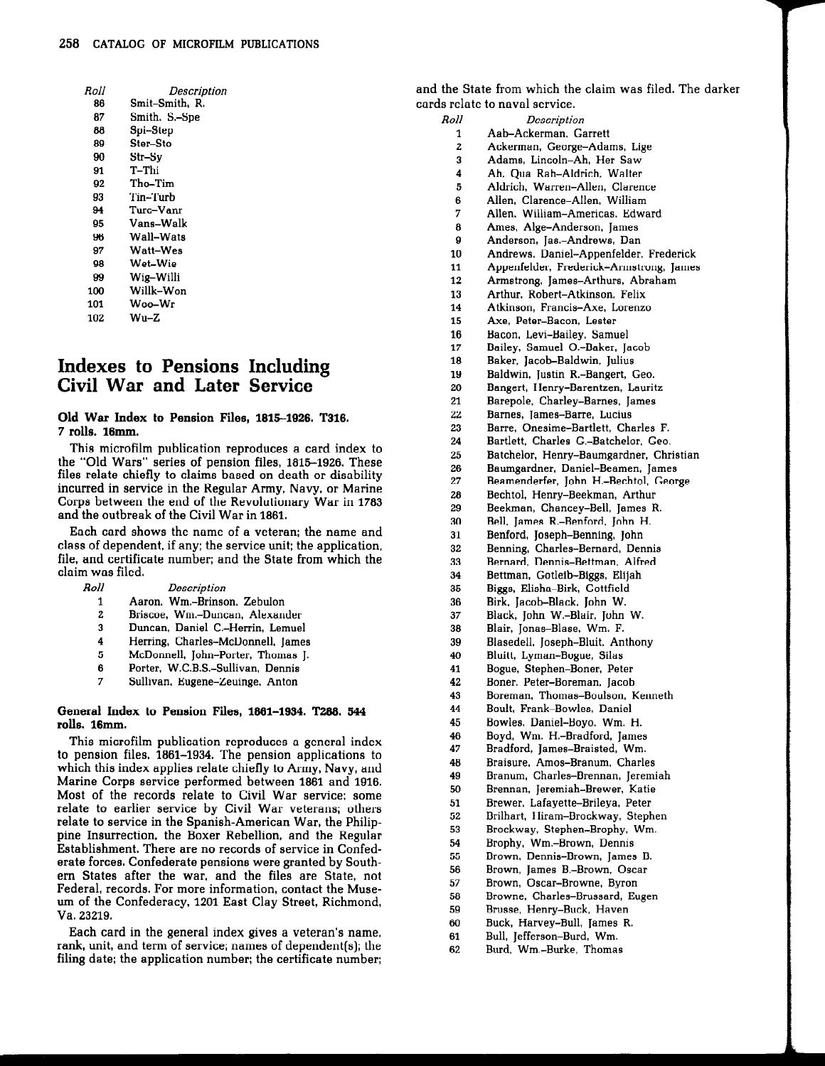| Roll | Descriptiol    |
|------|----------------|
| 86   | Smit–Smith. R. |
| 87   | Smith, S.-Spe  |
| 88   | Spi–Step       |
| 89   | Ster-Sto       |
| 90   | Str–Sv         |
| 91   | T-Thi          |
| 92   | Tho-Tim        |
| 93   | Tin–Turb       |
| 94   | Turc–Vanr      |
| 95   | Vans–Walk      |
| 96   | Wall–Wats      |
| 97   | Watt–Wes       |
| 98   | Wet–Wie        |
| 99   | Wig-Willi      |
| 100  | Willk-Won      |
| 101  | Woo–Wr         |
| 102  | $Wu-Z$         |
|      |                |

## Indexes to Pensions Including Civil War and Later Service

## Old War Index to Pension Files, 1815—1926. T316. 7 rolls. 16mm.

This microfilm publication reproduces a This microfilm publication reproduces a card index to the "Old Wars" series of pension files, 1815–1926. These files relate chiefly to claims based on death or disability to claims based on death or disability incurred in service in the Regular Army, Navy, or Marine Corps between the end of the Revolutionary War in 1783 and the outbreak of the Civil War in 1861.

Each card shows the name of a veteran; the name and class of dependent, if any; the service unit; the application, file, and certificate number: and the State from which the claim was filed.<br> $Roll$ 

| Roll<br>Description |
|---------------------|
|                     |

- 1 Aaron, Wm.—Brinson, Zebulon
- Briscoe. Wm.—Duncan, Alexander
- Duncan, Daniel C.—Herrin, Lemuel  $\mathbf{R}$
- Herring, Charles—McDonnell, James  $\frac{1}{5}$ <br> $\frac{3}{7}$
- McDonnell, John-Porter, Thomas J.
- Porter, W.C.B.S.—Sullivan, Dennis
- Sullivan, Eugene-Zeuinge, Anton

## General Index to Pension Files, 1861—1934. T288. 544 rolls. 16mm.

This microfilm publication reproduces a general index to pension files, 1861—1934. The pension applications to which this index applies relate chiefly to Army, Navy, and Marine Corps service performed between 1861 and 1916. Most of the records relate to Civil War service: some relate to earlier service by Civil War veterans; others relate to service in the Spanish—American War, the Philippine Insurrection, the Boxer Rebellion, and the Regular Establishment. There are no records of service in Confederate forces. Confederate pensions were granted by Southern States after the war, and the files are State, not Federal, records. For more information, contact the Museum of the Confederacy, 1201 East Clay Street, Richmond. Va. 23219.

Each card in the general index gives a veteran's name, rank, unit, and term of service; names of dependent(s]; the filing date; the application number; the certificate number; and the State from which the claim was filed. The darker cards relate to naval service.

- Roll **Description** Aab—Ackerman, Garrett
	- $\frac{1}{2}$ Ackerman, George-Adams, Lige
	- Adams, Lincoln—Ah, Her Saw 3
	- $\overline{\mathbf{4}}$ Ah, Qua Rah—Aldrich, Walter
	- 5 Aldrich, Warren—Allen, Clarence
	- 3<br>7<br>9 Allen, Clarence—Allen, William
	- Allen, William—Americas, Edward
	- Ames, Alge-Anderson. James
	- Anderson, Jas.-Andrews, Dan
	- $\begin{array}{c} 10 \\ 11 \end{array}$ Andrews, Daniel—Appenfelder, Frederick
	- Appenfelder, Frederick-Armstrong, James
- 12 Armstrong, James-Arthurs, Abraham
- 13 Arthur, Robert—Atkinson, Felix
- 14 Atkinson, Francis-Axe. Lorenzo
- 15 Axe, Peter-Bacon, Lester
- 16 Bacon, Levi-Bailey, Samuel
- 17 Bailey, Samuel O.-Baker, Jacob
- 18 Baker. Jacob—Baldwin, Julius
- 19 Baldwin, Justin R.-Bangert, Geo.
- 20 Bangert, Henry-Barentzen, Lauritz
- 21 Barepole, Charley—Barnes, James
- 22 Barnes, James-Barre, Lucius
- 23 Barre, Onesime—Bartlett, Charles F.
- 24 Bartlett, Charles G.-Batchelor, Geo.
- 25 Batchelor, Henry—Baumgardner, Christian
- 26 Baumgardner, Daniel-Beamen, James
- 27 Beamenderfer, John H.—Bechtol, George
- 28 Bechtol, Henry—Beekman, Arthur
- 29 Beekman, Chancey—Bell, James R.
- 30 Bell, James R.-Benford, John H.
- 31 Benford, Joseph-Benning, John
- 32 Benning, Charles—Bernard, Dennis
- 33 Bernard, Dennis—Bettman, Alfred
- 34 Bettman, Gotleib-Biggs, Elijah
- 35 Biggs, Elisha—Birk, Gottfield
- 36 Birk, Jacob-Black, John W.
- 37 Black, John W.—Blair, John W.
- 38 Blair, Jonas-Blase, Wm. F.
- 39 Blasedell, Joseph-Bluit, Anthony
- 4O Bluitt, Lyman-Bogue, Silas
- 41 Bogue, Stephen-Boner, Peter
- 42 Boner, Peter-Boreman, Jacob
- 43 Boreman, Thomas-Boulson, Kenneth
- 44 Boult, Frank—Bowles, Daniel
- 45 Bowles. Daniel-Boyo, Wm. H.
- 46 Boyd, Wm. H.-Bradford, James
- 47 Bradford, James—Braisted,Wm.
- 48 Braisure, Amos—Branum, Charles
- 49 Branum, Charles-Brennan, Jeremiah
- 50 Brennan. Jeremiah-Brewer, Katie
- 51 Brewer, Lafayette—Brileya, Peter
- 52 Brilhart, Hiram—Brockway, Stephen
- 53 Brockway, Stephen-Brophy, Wm.
- 54 Brophy, Wm.—Brown, Dennis
- 55 Brown, Dennis—Brown, James B.
- 56 Brown, James B.-Brown, Oscar
- 57 Brown, Oscar—Browne, Byron
- 58 Browne, Charles-Brussard, Eugen
- 59 Brusse, Henry—Buck, Haven
- Buck, Harvey—Bull, James R.
- 61 Bull, Jefferson-Burd, Wm.
- 62 Burd, Wm.—Burke, Thomas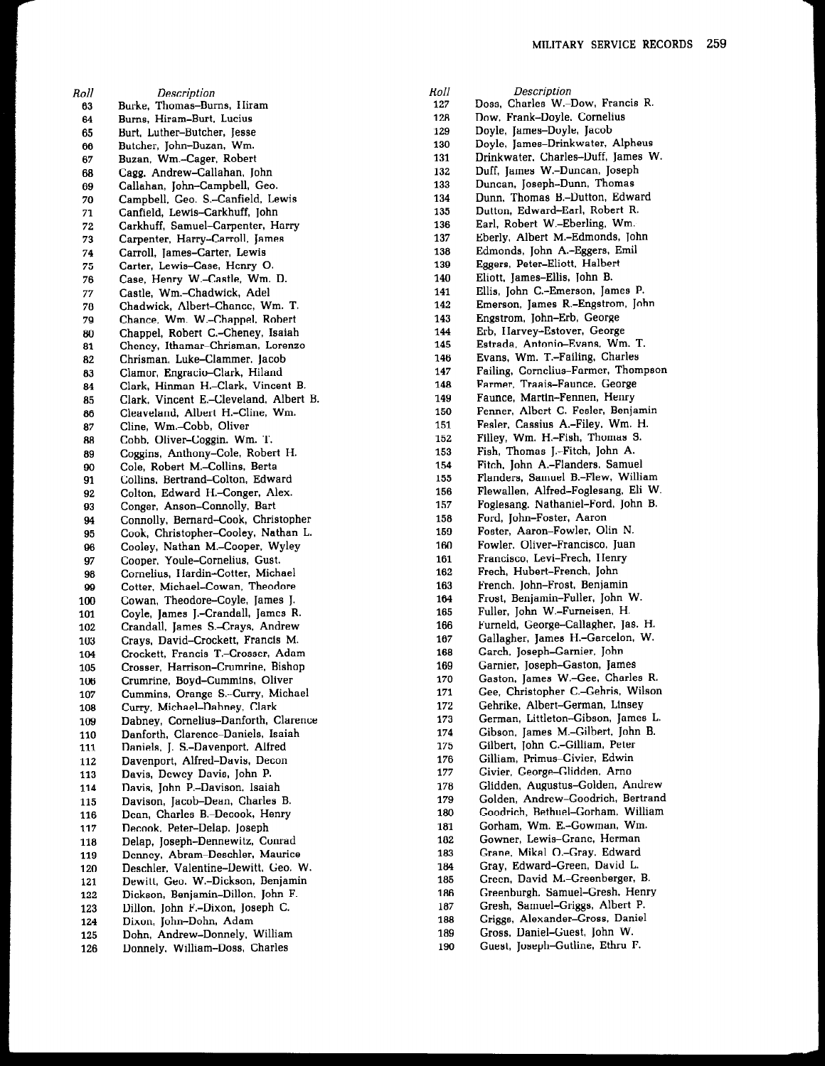Roll **Description** Burke, Thomas-Burns, Hiram Burns, Hiram-Burt, Lucius 64 Burt, Luther—Butcher. Jesse 65 66 Butcher, John—Buzan.Wm. 67<br>68 Buzan, Wm.-Cager, Robert Cagg, Andrew-Callahan, John 69 Callahan, John-Campbell, Geo. 70 Campbell, Geo. S.-Canfield, Lewis 71 Canfield, Lewis-Carkhuff. John Carkhuff, Samuel-Carpenter, Harry 72 73 Carpenter, Harry—Carroll, James 74 Carroll, James-Carter, Lewis 75 Carter, Lewis-Case, Henry 0. 76 Case, Henry W.—Castle. Wm. D. 77 Castle. Wm.—Chadwick, Adel 78 Chadwick. Albert—Chance, Wm. T. 79 Chance. Wm. W.—Chappel, Robert Chappel, Robert C.-Cheney, Isaiah 81 Cheney. Ithamar—Chrisman, Lorenzo Chrisman, Luke—Clammer, Jacob 82 83<br>84 Clamor. Engracio—Clark, Hiland Clark, Hinman H.–Clark, Vincent B. 85<br>86 Clark, Vincent E.-Cleveland, Albert B. Cleaveland, Albert H.-Cline, Wm. 87<br>88 Cline, Wm.—Cobb, Oliver Cobb, Oliver—Coggin, Wm. T. Coggins. Anthony—Cole, Robert H. 89 Cole, Robert M.—Collins, Berta 91 Collins. Bertrand—Colton, Edward Colton, Edward H.-Conger, Alex. 92 93 Conger. Anson—Connolly, Bart Connolly. Bernard—Cook, Christopher 95 Cook. Christopher—Cooley. Nathan L. Cooley, Nathan M.-Cooper, Wyley 96 97 Cooper. Youle—Cornelius. Gust. Cornelius. Hardin—Cotter, Michael 98 Cotter. Michael—Cowan. Theodore 100 Cowan. Theodore—Coyle. James J. Coyle, James J.-Crandall, James R. 101 Crandall, James S.-Crays, Andrew 102 Crays. David—Crockett, Francis M. 103 104 Crockett, Francis T.-Crosser, Adam Crosser. Harrison-Crumrine. Bishop 105 Crumrine. Boyd—Cummins. Oliver 106 107 Cummins. Orange S.-Curry, Michael Curry, Michael—Dabney, Clark 108 109 Dabney. Cornelius—Danforth. Clarence Danforth, Clarence—Daniels. Isaiah 110 Daniels, J. S.-Davenport, Alfred 111 112 Davenport, Alfred—Davis. Decon 113 Davis, Dewey—Davis, John P. Davis, John P.-Davison, Isaiah 114 Davison, Jacob-Dean. Charles B. 115 Dean. Charles B.-Decook, Henry 116 117 Decook, Peter-Delap, Joseph 118 Delap, Joseph-Dennewitz, Conrad Denney, Abram—Deschler. Maurice 119 120 Deschler. Valentine—Dewitt, Geo. W. 121 Dewitt. Geo. W.—Dickson, Benjamin Dickson, Benjamin—Dillon, John F. 122 Dillon, John F.-Dixon, Joseph C. 123 124 Dixon, John-Dohn, Adam Dohn. Andrew—Donnely, William 125 Donnely, William—Doss. Charles 126

| Roll       | Description                                                            |
|------------|------------------------------------------------------------------------|
| 127        | Doss, Charles W.-Dow, Francis R.                                       |
| 128        | Dow, Frank–Doyle, Cornelius                                            |
| 129        | Doyle, James-Doyle, Jacob                                              |
| 130        | Doyle, James-Drinkwater, Alpheus                                       |
| 131        | Drinkwater, Charles-Duff, James W.                                     |
| 132        | Duff, James W.-Duncan, Joseph                                          |
| 133        | Duncan, Joseph-Dunn, Thomas                                            |
| 134        | Dunn, Thomas B .- Dutton, Edward                                       |
| 135        | Dutton, Edward-Earl, Robert R.                                         |
| 136        | Earl, Robert W.-Eberling, Wm.                                          |
| 137        | Eberly, Albert M.-Edmonds, John                                        |
| 138        | Edmonds, John A.-Eggers, Emil                                          |
| 139        | Eggers, Peter-Eliott, Halbert                                          |
| 140        | Eliott, James-Ellis, John B.                                           |
| 141        | Ellis, John C.-Emerson, James P.                                       |
| 142        | Emerson, James R.-Engstrom, John                                       |
| 143        | Engstrom, John-Erb, George                                             |
| 144        | Erb, Harvey-Estover, George                                            |
| 145        | Estrada, Antonio-Evans, Wm. T.                                         |
| 146        | Evans, Wm. T.-Failing, Charles                                         |
| 147        | Failing, Cornelius-Farmer, Thompson                                    |
| 148        | Farmer, Traais-Faunce, George                                          |
| 149        | Faunce, Martin-Fennen, Henry                                           |
| 150        | Fenner, Albert C.-Fesler, Benjamin                                     |
| 151        | Fesler, Cassius A.-Filey, Wm. H.                                       |
| 152        | Filley, Wm. H.-Fish, Thomas S.                                         |
| 153        | Fish, Thomas J.-Fitch, John A.                                         |
| 154        | Fitch, John A.-Flanders. Samuel                                        |
| 155        | Flanders, Samuel B.-Flew, William                                      |
| 156        | Flewallen, Alfred-Foglesang, Eli W.                                    |
| 157        | Foglesang, Nathaniel-Ford, John B.                                     |
| 158        | Ford, John-Foster, Aaron                                               |
| 159        | Foster, Aaron-Fowler, Olin N.                                          |
| 160        | Fowler, Oliver-Francisco, Juan                                         |
| 161        | Francisco, Levi-Frech, Henry                                           |
| 162        | Frech, Hubert-French, John                                             |
| 163        | French, John-Frost, Benjamin                                           |
| 164        | Frost, Benjamin-Fuller, John W.<br>Fuller, John W.-Furneisen, H.       |
| 165        |                                                                        |
| 166        | Furneld, George-Callagher, Jas. H.<br>Gallagher, James H.-Garcelon, W. |
| 167        | Garch, Joseph-Garnier, John                                            |
| 168        | Garnier, Joseph-Gaston, James                                          |
| 169<br>170 | Gaston, James W.-Gee, Charles R.                                       |
| 171        | Gee, Christopher C.–Gehris, Wilson                                     |
| 172        | Gehrike, Albert-German, Linsey                                         |
| 173        | German, Littleton-Gibson, James L.                                     |
| 174        | Gibson, James M.-Gilbert, John B.                                      |
| 175        | Gilbert, John C.-Gilliam, Peter                                        |
| 176        | Gilliam, Primus-Givier, Edwin                                          |
| 177        | Givier, George-Glidden, Arno                                           |
| 178        | Glidden, Augustus-Golden, Andrew                                       |
| 179        | Golden, Andrew-Goodrich, Bertrand                                      |
| 180        | Goodrich, Bethuel-Gorham, William                                      |
| 181        | Gorham. Wm. E.-Gowman, Wm.                                             |
| 182        | Gowner, Lewis-Grane, Herman                                            |
| 183        | Grane, Mikal O.-Gray, Edward                                           |
| 184        | Gray, Edward-Green, David L.                                           |
| 185        | Green, David M.-Greenberger, B.                                        |
| 186        | Greenburgh, Samuel-Gresh, Henry                                        |
| 187        | Gresh, Samuel-Griggs, Albert P.                                        |
| 188        | Griggs, Alexander-Gross, Daniel                                        |
| 189        | Gross, Daniel-Guest, John W.                                           |
| 190        | Guest, Joseph-Gutline, Ethru F.                                        |
|            |                                                                        |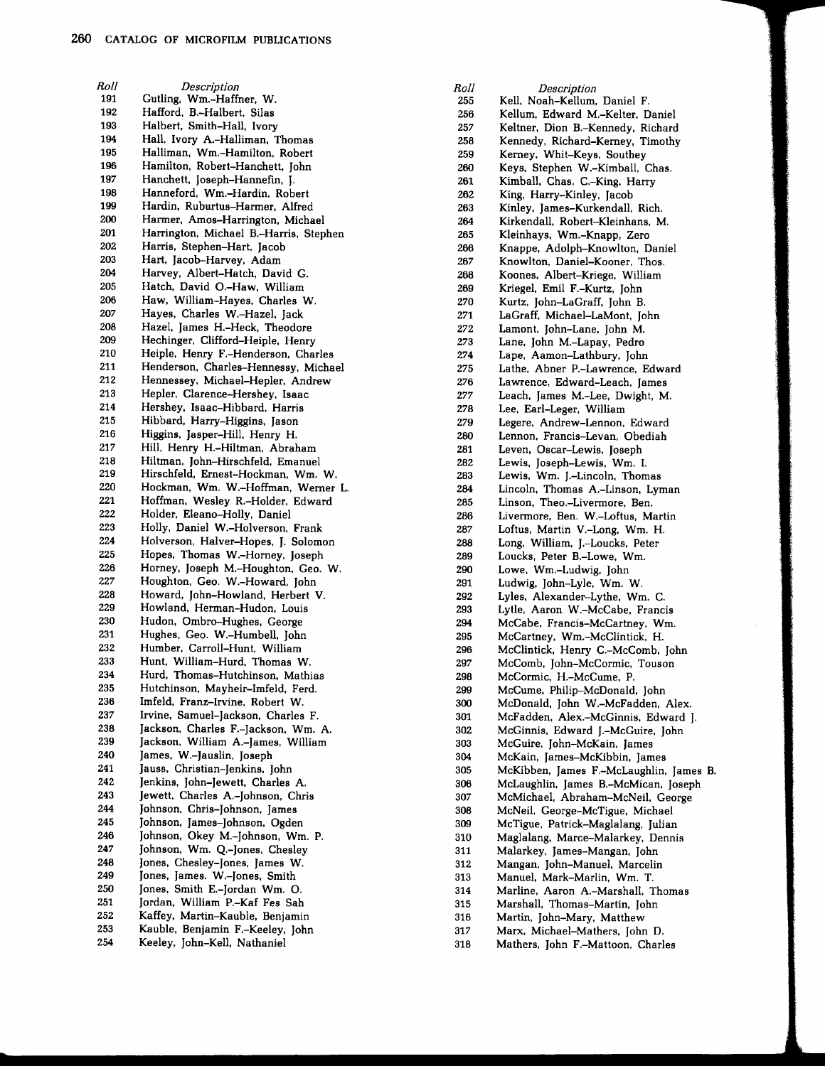R011 191 192 193 194 195 196 197 198 199 200 201 202 203 204 205 206 207 208 209 210 211 212 213 214 215 216 217 218 219 220 221 222 223 224 225 226 227 228 229 230 231 232 233 234 235 236 237 238 239 240 241 242 243 244 245 246 247 248 249 250 251 252 253 254 Description Gutling, Wm.—Haffner. W. Hafford, B.—Halbert. Silas Halbert, Smith-Hall, Ivory Hall, Ivory A.—Halliman, Thomas Halliman. Wm.-Hamilton, Robert Hamilton, Robert—Hanchett. John Hanchett, Joseph-Hannefin, J. Hanneford, Wm.—Hardin. Robert Hardin, Ruburtus—Harmer, Alfred Harmer, Amos—Harrington, Michael Harrington, Michael B.-Harris, Stephen Harris, Stephen—Hart, Jacob Hart, Jacob-Harvey. Adam Harvey, Albert—Hatch, David G. Hatch. David O.-Haw, William Haw, William—Hayes, Charles W. Hayes, Charles W.—Hazel, Jack Hazel. James H.—Heck. Theodore Hechinger, Clifford-Heiple, Henry Heiple, Henry F.-Henderson, Charles Henderson, Charles-Hennessy, Michael Hennessey, Michael—Hepler, Andrew Hepler, Clarence-Hershey. Isaac Hershey, Isaac—Hibbard, Harris Hibbard, Harry—Higgins, Jason Higgins, Jasper-Hill, Henry H. Hill, Henry H.-Hiltman, Abraham Hiltman, John—Hirschfeld, Emanuel Hirschfeld, Ernest-Hockman, Wm. W. Hockman, Wm. W.—Hoffman, Werner L. Hoffman, Wesley R.-Holder, Edward Holder, Eleano—Holly, Daniel Holly, Daniel W.—Holverson, Frank Holverson, Halver—Hopes, J. Solomon Hopes, Thomas W.—Homey, Joseph Horney, Joseph M.—Houghton, Geo. W. Houghton, Geo. W.—Howard, John Howard, John-Howland, Herbert V. Howland, Herman—Hudon, Louis Hudon, Ombro-Hughes, George Hughes, Geo. W.—Humbell, John Humber, Carroll-Hunt, William Hunt, William—Hurd, Thomas W. Hurd, Thomas—Hutchinson. Mathias Hutchinson, Mayheir-Imfeld, Ferd. Imfeld, Franz—Irvine, Robert W. Irvine, Samuel-Jackson, Charles F. Jackson, Charles F.-Jackson, Wm. A. Jackson, William A.-James, William James, W.-Jauslin, Joseph Jauss, Christian-Jenkins, John Jenkins, John-Jewett, Charles A. Jewett, Charles A.-Johnson, Chris Johnson, Chris-Johnson. James Johnson, James-Johnson, Ogden Johnson, Okey M.-Johnson, Wm. P. Johnson, Wm. Q.-Jones, Chesley Jones, Chesley-Jones, James W. Jones, James. W.-Jones, Smith Jones. Smith E.-Jordan Wm. 0. Jordan, William P.-Kaf Fes Sah Kaffey, Martin—Kauble, Benjamin Kauble, Benjamin F.-Keeley, John Keeley, John-Kell, Nathaniel

R011 255 256 257 258 259 260 261 262 263 264 265 266 267 268 269 270 271 272 273 274 275 276 277 278 279 280 281 282 283 284 285 286 287<br>288 288 289 290 291 292 293 294 295 296 297 298 299 300 301 302 303 304 305 306 307 308 309 310 311 312 313 314 315 316 317 318 **Description** Kell, Noah-Kellum. Daniel F. Kellum, Edward M.—Kelter, Daniel Keltner, Dion B.-Kennedy, Richard Kennedy, Richard—Kerney. Timothy Kemey, Whit—Keys. Southey Keys, Stephen W.-Kimball, Chas. Kimball, Chas. C.-King, Harry King, Harry—Kinley, Jacob Kinley. James—Kurkendall, Rich. Kirkendall, Robert—Kleinhans, M. Kleinhays, Wm.—Knapp, Zero Knappe, Adolph—Knowlton, Daniel Knowlton, Daniel—Kooner, Thos. Koones, Albert—Kriege, William Kriegel, Emil F.-Kurtz, John Kurtz, John-LaGraff, John B. LaGraff, Michael—LaMont, John Lamont, John-Lane, John M. Lane. John M.—Lapay, Pedro Lape, Aamon-Lathbury, John Lathe, Abner P.-Lawrence, Edward Lawrence, Edward—Leach, James Leach, James M.-Lee, Dwight, M. Lee, Earl—Leger.William Legere, Andrew—Lennon, Edward Lennon, Francis-Levan, Obediah Leven, Oscar—Lewis, Joseph Lewis, Joseph-Lewis, Wm. I. Lewis, Wm. J.-Lincoln, Thomas Lincoln. Thomas A.—Linson, Lyman Linson, Theo.—Livermore, Ben. Livermore, Ben. W.—Loftus, Martin Loftus, Martin V.—Long.Wm. H. Long, William, J.-Loucks, Peter Loucks, Peter B.-Lowe, Wm. Lowe, Wm.—Ludwig, John Ludwig, John-Lyle, Wm. W. Lyles. Alexander—Lythe, Wm. C. Lytle, Aaron W.—McCabe, Francis McCabe, Francis—McCartney, Wm. McCartney, Wm.—McClintick, H. McClintick, Henry C.-McComb, John McComb, John-McCormic, Touson McCormic, H.-McCume, P. McCume, Philip—McDonald, John McDonald, John W.-McFadden, Alex. McFadden, Alex.—McGinnis, Edward J. McGinnis, Edward J.-McGuire, John McGuire, John—McKain, James McKain, James—McKibbin, James McKibben, James F.—McLaughlin, James B. McLaughlin, James B.-McMican, Joseph McMichael, Abraham—McNeil, George McNeil, George-McTigue, Michael McTigue, Patrick—Maglalang, Julian Maglalang. Marce—Malarkey, Dennis Malarkey, James-Mangan, John Mangan, John-Manuel, Marcelin Manuel, Mark—Marlin, Wm. T. Marline, Aaron A.—Marshall, Thomas Marshall, Thomas—Martin, John Martin, John-Mary, Matthew Marx, Michael—Mathers, John D. Mathers, John F.—Mattoon, Charles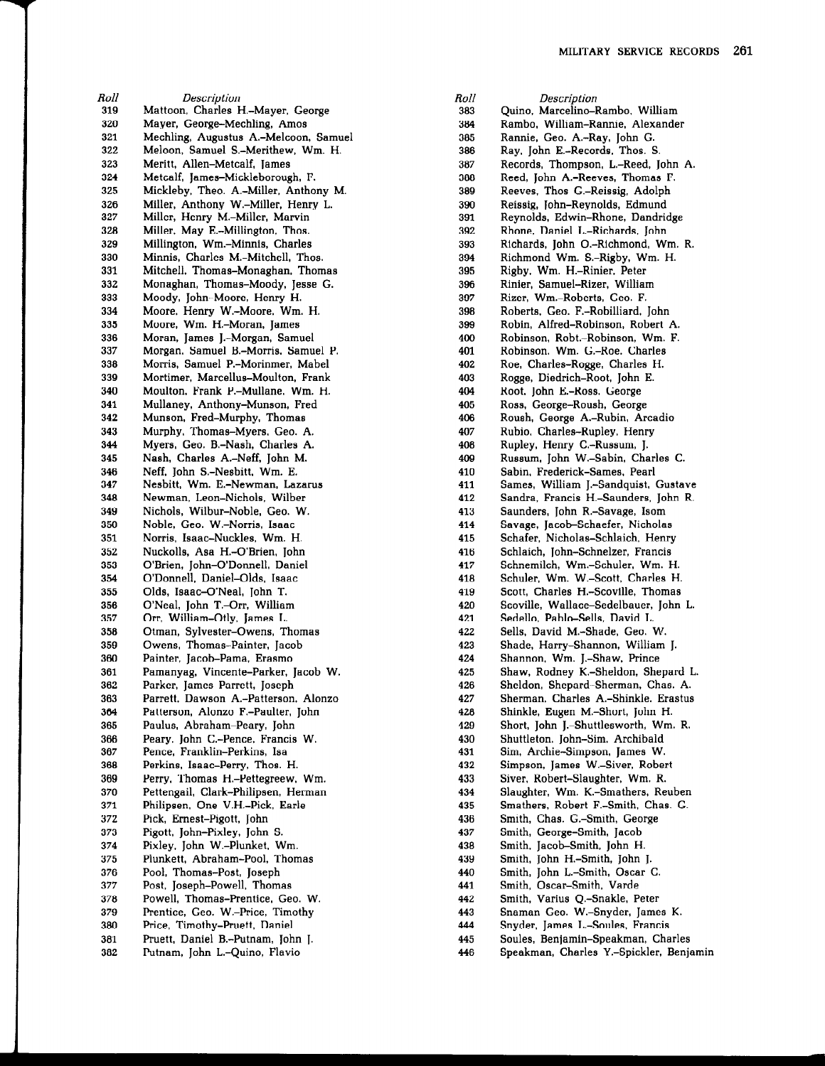Roll 319 320 321 322 323 324 325 326 327 328 329 330 331 332 333 334 335 336 337 338 339 340 341 342 343 344 345 346 347 348 349 350 351 352 353 354 355 356 357 358 359 360 361 362 363 364 365 366 367 368 369 370 371 372 373 374 375 376 377 378 379 380 381 382 **Description** Mattoon. Charles H.—Mayer. George Mayer. George—Mechling.Amos Mechling. Augustus A.-Melcoon, Samuel Meloon, Samuel S.—Merithew. Wm. H. Meritt, Allen—Metcalf, ]ames Metcalf. ]ames—Mickleborough. F. Mickleby, Theo. A.—Miller. Anthony M. Miller, Anthony W.—Miller, Henry L. Miller, Henry M.-Miller. Marvin Miller, May E.—Millington. Thos. Millington. Wm.—Minnis, Charles Minnis, Charles M.—Mitchell, Thos. Mitchell, Thomas—Monaghan. Thomas Monaghan, Thomas—Moody, ]esse G. Moody, ]ohn—Moore. Henry H. Moore. Henry W.-Moore, Wm. H. Moore. Wm. H.-Moran, James Moran, James J.-Morgan, Samuel Morgan. Samuel B.—Morris, Samuel P. Morris. Samuel P.-Morinmer. Mabel Mortimer, Marcellus—Moulton. Frank Moulton, Frank P.-Mullane, Wm. H. Mullaney, Anthony—Munson, Fred Munson. Fred—Murphy, Thomas Murphy. Thomas—Myers, Geo. A. Myers, Geo. B.-Nash, Charles A. Nash. Charles A.—Neff. ]ohn M. Neff, ]ohn S.-Nesbitt, Wm. E. Nesbitt. Wm. E.-Newman, Lazarus Newman, Leon—Nichols, Wilber Nichols. Wilbur—Noble, Geo. W. Noble, Geo. W.—Norris. Isaac Norris. Isaac—Nuckles. Wm. H. Nuckolls. Asa H.-O'Brien. John O'Brien, ]ohn—O'Donnell, Daniel O'Donnell. Daniel—Olds, Isaac Olds, Isaac—O'Neal. ]ohn T. O'Neal, John T.-Orr, William Orr. William—Otly. ]ames L. Otman, Sylvester—Owens. Thomas Owens, Thomas—Painter. ]acob Painter, Jacob–Pama, Erasmo Pamanyag. Vincente—Parker. ]acob W. Parker, James-Parrett, Joseph Parrett. Dawson A.—Patterson. Alonzo Patterson. Alonzo F.-Paulter, ]ohn Paulus, Abraham-Peary, John Peary. John C.-Pence, Francis W. Pence. Franklin—Perkins. Isa Perkins, Isaac-Perry, Thos. H. Perry, Thomas H.-Pettegreew, Wm. Pettengail, Clark—Philipsen, Herman Philipsen. One V.H.—Pick. Earle Pick, Emest—Pigott. ]ohn Pigott, John-Pixley, John S. Pixley, ]ohn W.-Plunket, Wm. Plunkett. Abraham—Pool, Thomas Pool, Thomas-Post, Joseph Post, ]oseph—Powell, Thomas Powell. Thomas-Prentice. Geo. W. Prentice, Geo. W.-Price, Timothy Price. Timothy—Pruett, Daniel Pruett, Daniel B.-Putnam, John J. Putnam, John L.-Quino, Flavio

R011 383 384 385 386 387 388 389 390 391 392 393 394 395 396 397<br>398 398 399 400 401 402<br>403 403 404 405 406 407 408 409<br>410 410 411 412 413 414 415 416 417 418 419 420 421 422 423 424 425 426 427 428 429 430 431 432 433 434 435 436 437 438 439 440 441 442 443 445 446 **Description** Quino, Marcelino—Rambo. William Rambo. William—Rannie, Alexander Rannie, Geo. A.-Ray, John G. Ray. ]ohn E.-Records, Thos. S. Records, Thompson, L.—Reed,]ohn A. Reed. ]ohn A.-Reeves. Thomas F. Reeves, Thos G.-Reissig, Adolph Reissig, ]ohn—Reynolds, Edmund Reynolds. Edwin—Rhone, Dandridge Rhone. Daniel L.—Richards.]ohn Richards, John O.-Richmond, Wm. R. Richmond Wm. S.-Rigby, Wm. H. Rigby, Wm. H.—Rinier, Peter Rinier, Samuel-Rizer, William Rizer. Wm.—Roberts. Geo. F. Roberts. Geo. F.—Robilliard. ]ohn Robin. Alfred-Robinson, Robert A. Robinson, Robt.—Robinson,Wm. F. Robinson, Wm. G.-Roe, Charles Roe. Charles-Rogge, Charles H. Rogge, Diedrich—Root. ]ohn E. Root, John E.-Ross, George Ross, George-Roush, George Roush. George A.—Rubin. Arcadio Rubio, Charles—Rupley. Henry Rupley, Henry C.-Russum, J. Russum. ]ohn W.—Sabin, Charles C. Sabin. Frederick-Sames, Pearl Sames, William ].-Sandquist, Gustave Sandra, Francis H.-Saunders, John R. Saunders, John R.-Savage, Isom Savage, Jacob-Schaefer, Nicholas Schafer, Nicholas-Schlaich, Henry Schlaich, John-Schnelzer, Francis Schnemilch, Wm.—Schuler, Wm. H. Schuler, Wm. W.—Scott. Charles H. Scott. Charles H.—Scoville. Thomas Scoville, Wallace-Sedelbauer, John L. Sedello. Pablo-Sells, David L. Sells, David M.-Shade, Geo. W. Shade, Harry—Shannon, William I. Shannon, Wm. J.-Shaw, Prince Shaw, Rodney K.-Sheldon, Shepard L. Sheldon, Shepard–Sherman, Chas. A. Sherman, Charles A.—Shinkle, Erastus Shinkle. Eugen M.-Short, ]ohn H. Short, John J.-Shuttlesworth, Wm. R. Shuttleton, John-Sim, Archibald Sim. Archie—Simpson, ]ames W. Simpson, ]ames W.—Siver. Robert Siver, Robert-Slaughter, Wm. R. Slaughter, Wm. K.-Smathers. Reuben Smathers, Robert F.-Smith, Chas. G. Smith, Chas. G.-Smith, George Smith, George-Smith, Jacob Smith, Jacob-Smith, John H. Smith, ]ohn H.-Smith, ]ohn 1. Smith, John L.-Smith, Oscar C. Smith, Oscar-Smith, Varde Smith, Varius Q.-Snakle, Peter Snaman Geo. W.—Snyder, James K. Snyder. James L.-Soules. Francis Soules, Benjamin—Speakman. Charles Speakman. Charles Y.-Spickler, Benjamin